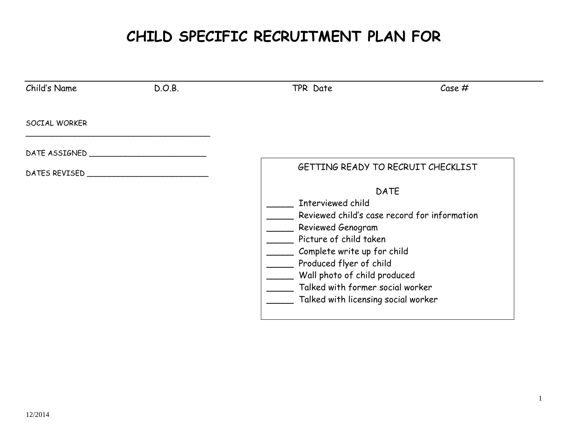# **CHILD SPECIFIC RECRUITMENT PLAN FOR**

| Child's Name  | D.O.B. | TPR Date                                                                                                                                                                                                                                                                                             | Case# |
|---------------|--------|------------------------------------------------------------------------------------------------------------------------------------------------------------------------------------------------------------------------------------------------------------------------------------------------------|-------|
| SOCIAL WORKER |        |                                                                                                                                                                                                                                                                                                      |       |
| DATE ASSIGNED |        |                                                                                                                                                                                                                                                                                                      |       |
| DATES REVISED |        | GETTING READY TO RECRUIT CHECKLIST                                                                                                                                                                                                                                                                   |       |
|               |        | <b>DATE</b><br>Interviewed child<br>Reviewed child's case record for information<br>Reviewed Genogram<br>Picture of child taken<br>Complete write up for child<br>Produced flyer of child<br>Wall photo of child produced<br>Talked with former social worker<br>Talked with licensing social worker |       |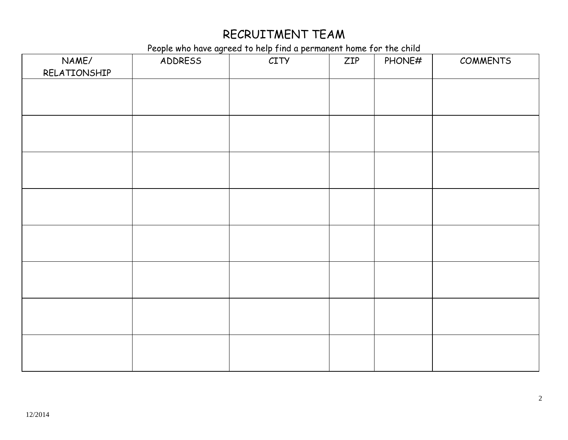#### RECRUITMENT TEAM

People who have agreed to help find a permanent home for the child

| NAME/<br>RELATIONSHIP | ADDRESS | i copie who have agreed to help this a permanent home for the entra-<br>CITY | ZIP | PHONE# | COMMENTS |
|-----------------------|---------|------------------------------------------------------------------------------|-----|--------|----------|
|                       |         |                                                                              |     |        |          |
|                       |         |                                                                              |     |        |          |
|                       |         |                                                                              |     |        |          |
|                       |         |                                                                              |     |        |          |
|                       |         |                                                                              |     |        |          |
|                       |         |                                                                              |     |        |          |
|                       |         |                                                                              |     |        |          |
|                       |         |                                                                              |     |        |          |
|                       |         |                                                                              |     |        |          |
|                       |         |                                                                              |     |        |          |
|                       |         |                                                                              |     |        |          |
|                       |         |                                                                              |     |        |          |
|                       |         |                                                                              |     |        |          |
|                       |         |                                                                              |     |        |          |
|                       |         |                                                                              |     |        |          |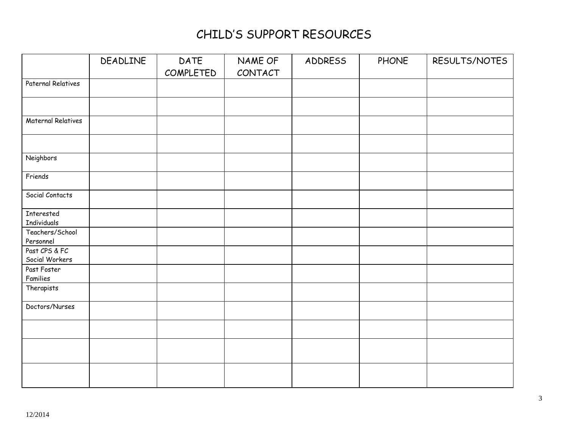# CHILD'S SUPPORT RESOURCES

|                                  | DEADLINE | DATE<br>COMPLETED | NAME OF<br>CONTACT | ADDRESS | <b>PHONE</b> | RESULTS/NOTES |
|----------------------------------|----------|-------------------|--------------------|---------|--------------|---------------|
| Paternal Relatives               |          |                   |                    |         |              |               |
|                                  |          |                   |                    |         |              |               |
| Maternal Relatives               |          |                   |                    |         |              |               |
|                                  |          |                   |                    |         |              |               |
| Neighbors                        |          |                   |                    |         |              |               |
| Friends                          |          |                   |                    |         |              |               |
| Social Contacts                  |          |                   |                    |         |              |               |
| Interested<br><b>Individuals</b> |          |                   |                    |         |              |               |
| Teachers/School<br>Personnel     |          |                   |                    |         |              |               |
| Past CPS & FC<br>Social Workers  |          |                   |                    |         |              |               |
| Past Foster<br>Families          |          |                   |                    |         |              |               |
| Therapists                       |          |                   |                    |         |              |               |
| Doctors/Nurses                   |          |                   |                    |         |              |               |
|                                  |          |                   |                    |         |              |               |
|                                  |          |                   |                    |         |              |               |
|                                  |          |                   |                    |         |              |               |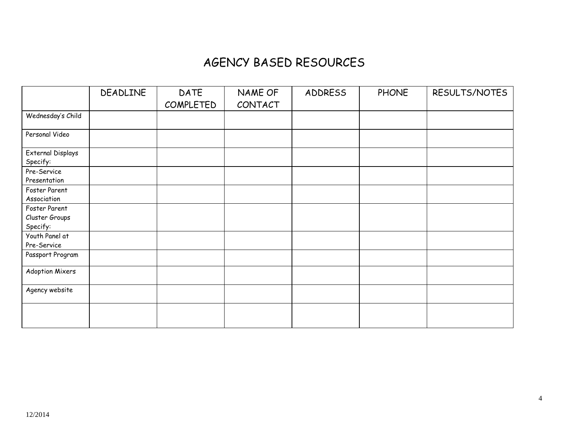#### AGENCY BASED RESOURCES

|                                              | DEADLINE | DATE<br>COMPLETED | NAME OF<br>CONTACT | ADDRESS | <b>PHONE</b> | RESULTS/NOTES |
|----------------------------------------------|----------|-------------------|--------------------|---------|--------------|---------------|
| Wednesday's Child                            |          |                   |                    |         |              |               |
| Personal Video                               |          |                   |                    |         |              |               |
| External Displays<br>Specify:<br>Pre-Service |          |                   |                    |         |              |               |
| Presentation                                 |          |                   |                    |         |              |               |
| Foster Parent<br>Association                 |          |                   |                    |         |              |               |
| Foster Parent<br>Cluster Groups<br>Specify:  |          |                   |                    |         |              |               |
| Youth Panel at<br>Pre-Service                |          |                   |                    |         |              |               |
| Passport Program                             |          |                   |                    |         |              |               |
| Adoption Mixers                              |          |                   |                    |         |              |               |
| Agency website                               |          |                   |                    |         |              |               |
|                                              |          |                   |                    |         |              |               |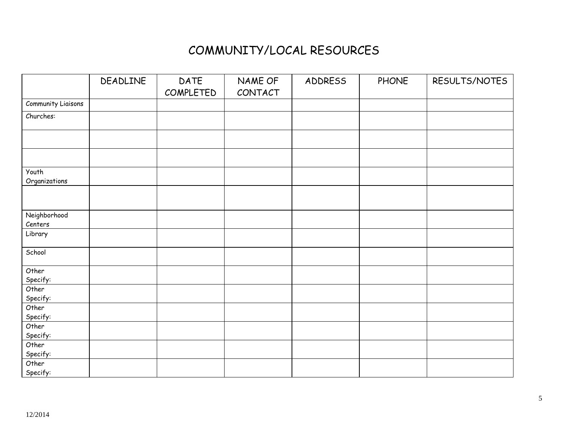#### COMMUNITY/LOCAL RESOURCES

|                           | DEADLINE | DATE<br>COMPLETED | NAME OF<br>CONTACT | ADDRESS | <b>PHONE</b> | RESULTS/NOTES |
|---------------------------|----------|-------------------|--------------------|---------|--------------|---------------|
| <b>Community Liaisons</b> |          |                   |                    |         |              |               |
| Churches:                 |          |                   |                    |         |              |               |
|                           |          |                   |                    |         |              |               |
|                           |          |                   |                    |         |              |               |
| Youth<br>Organizations    |          |                   |                    |         |              |               |
|                           |          |                   |                    |         |              |               |
| Neighborhood<br>Centers   |          |                   |                    |         |              |               |
| Library                   |          |                   |                    |         |              |               |
| School                    |          |                   |                    |         |              |               |
| Other<br>Specify:         |          |                   |                    |         |              |               |
| Other<br>Specify:         |          |                   |                    |         |              |               |
| Other<br>Specify:         |          |                   |                    |         |              |               |
| Other<br>Specify:         |          |                   |                    |         |              |               |
| Other<br>Specify:         |          |                   |                    |         |              |               |
| Other<br>Specify:         |          |                   |                    |         |              |               |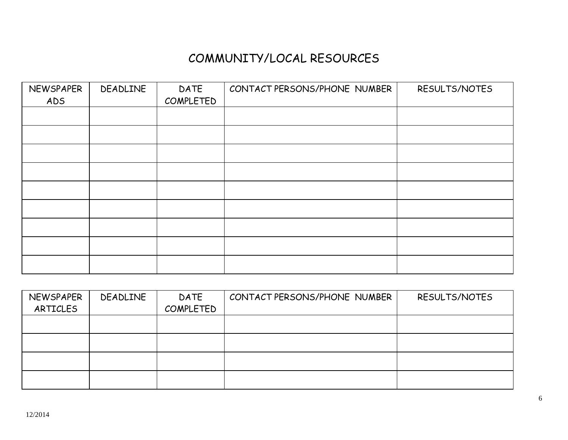# COMMUNITY/LOCAL RESOURCES

| NEWSPAPER | DEADLINE | DATE      | CONTACT PERSONS/PHONE NUMBER | RESULTS/NOTES |
|-----------|----------|-----------|------------------------------|---------------|
| ADS       |          | COMPLETED |                              |               |
|           |          |           |                              |               |
|           |          |           |                              |               |
|           |          |           |                              |               |
|           |          |           |                              |               |
|           |          |           |                              |               |
|           |          |           |                              |               |
|           |          |           |                              |               |
|           |          |           |                              |               |
|           |          |           |                              |               |

| NEWSPAPER<br>ARTICLES | DEADLINE | <b>DATE</b><br>COMPLETED | CONTACT PERSONS/PHONE NUMBER | RESULTS/NOTES |
|-----------------------|----------|--------------------------|------------------------------|---------------|
|                       |          |                          |                              |               |
|                       |          |                          |                              |               |
|                       |          |                          |                              |               |
|                       |          |                          |                              |               |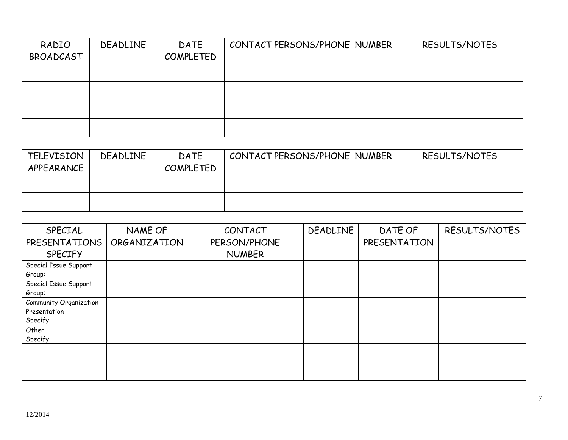| RADIO<br>BROADCAST | DEADLINE | DATE<br>COMPLETED | CONTACT PERSONS/PHONE NUMBER | RESULTS/NOTES |
|--------------------|----------|-------------------|------------------------------|---------------|
|                    |          |                   |                              |               |
|                    |          |                   |                              |               |
|                    |          |                   |                              |               |
|                    |          |                   |                              |               |

| <b>TELEVISION</b> | DEADLINE | <b>DATE</b>      | CONTACT PERSONS/PHONE NUMBER | RESULTS/NOTES |
|-------------------|----------|------------------|------------------------------|---------------|
| APPEARANCE        |          | <b>COMPLETED</b> |                              |               |
|                   |          |                  |                              |               |
|                   |          |                  |                              |               |
|                   |          |                  |                              |               |
|                   |          |                  |                              |               |

| SPECIAL                | NAME OF      | CONTACT       | DEADLINE | DATE OF      | RESULTS/NOTES |
|------------------------|--------------|---------------|----------|--------------|---------------|
| <b>PRESENTATIONS</b>   | ORGANIZATION | PERSON/PHONE  |          | PRESENTATION |               |
| <b>SPECIFY</b>         |              | <b>NUMBER</b> |          |              |               |
| Special Issue Support  |              |               |          |              |               |
| Group:                 |              |               |          |              |               |
| Special Issue Support  |              |               |          |              |               |
| Group:                 |              |               |          |              |               |
| Community Organization |              |               |          |              |               |
| Presentation           |              |               |          |              |               |
| Specify:               |              |               |          |              |               |
| Other                  |              |               |          |              |               |
| Specify:               |              |               |          |              |               |
|                        |              |               |          |              |               |
|                        |              |               |          |              |               |
|                        |              |               |          |              |               |
|                        |              |               |          |              |               |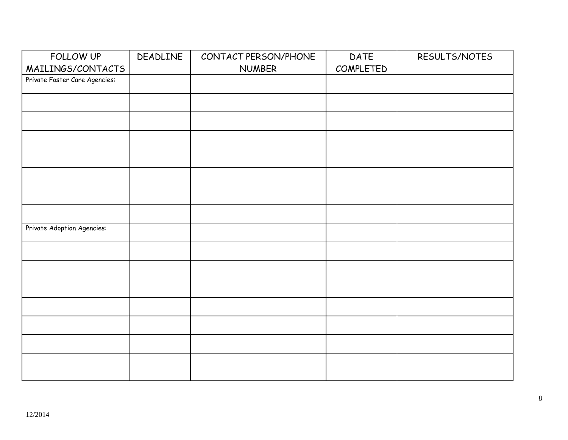| FOLLOW UP                     | DEADLINE | CONTACT PERSON/PHONE | DATE      | RESULTS/NOTES |
|-------------------------------|----------|----------------------|-----------|---------------|
| MAILINGS/CONTACTS             |          | <b>NUMBER</b>        | COMPLETED |               |
| Private Foster Care Agencies: |          |                      |           |               |
|                               |          |                      |           |               |
|                               |          |                      |           |               |
|                               |          |                      |           |               |
|                               |          |                      |           |               |
|                               |          |                      |           |               |
|                               |          |                      |           |               |
|                               |          |                      |           |               |
|                               |          |                      |           |               |
| Private Adoption Agencies:    |          |                      |           |               |
|                               |          |                      |           |               |
|                               |          |                      |           |               |
|                               |          |                      |           |               |
|                               |          |                      |           |               |
|                               |          |                      |           |               |
|                               |          |                      |           |               |
|                               |          |                      |           |               |
|                               |          |                      |           |               |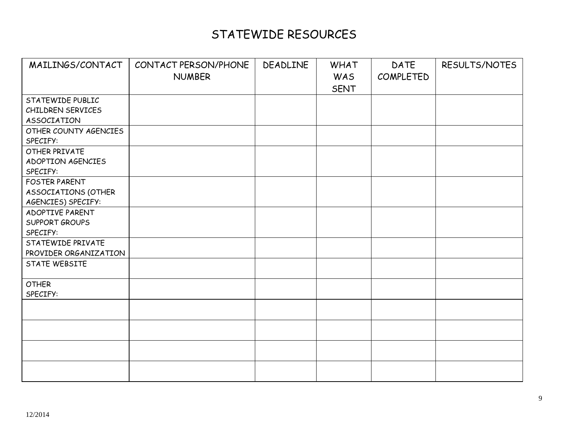# STATEWIDE RESOURCES

| MAILINGS/CONTACT      | CONTACT PERSON/PHONE | DEADLINE | <b>WHAT</b> | DATE      | RESULTS/NOTES |
|-----------------------|----------------------|----------|-------------|-----------|---------------|
|                       | <b>NUMBER</b>        |          | <b>WAS</b>  | COMPLETED |               |
|                       |                      |          | <b>SENT</b> |           |               |
| STATEWIDE PUBLIC      |                      |          |             |           |               |
| CHILDREN SERVICES     |                      |          |             |           |               |
| ASSOCIATION           |                      |          |             |           |               |
| OTHER COUNTY AGENCIES |                      |          |             |           |               |
| SPECIFY:              |                      |          |             |           |               |
| OTHER PRIVATE         |                      |          |             |           |               |
| ADOPTION AGENCIES     |                      |          |             |           |               |
| SPECIFY:              |                      |          |             |           |               |
| <b>FOSTER PARENT</b>  |                      |          |             |           |               |
| ASSOCIATIONS (OTHER   |                      |          |             |           |               |
| AGENCIES) SPECIFY:    |                      |          |             |           |               |
| ADOPTIVE PARENT       |                      |          |             |           |               |
| <b>SUPPORT GROUPS</b> |                      |          |             |           |               |
| SPECIFY:              |                      |          |             |           |               |
| STATEWIDE PRIVATE     |                      |          |             |           |               |
| PROVIDER ORGANIZATION |                      |          |             |           |               |
| STATE WEBSITE         |                      |          |             |           |               |
| <b>OTHER</b>          |                      |          |             |           |               |
| SPECIFY:              |                      |          |             |           |               |
|                       |                      |          |             |           |               |
|                       |                      |          |             |           |               |
|                       |                      |          |             |           |               |
|                       |                      |          |             |           |               |
|                       |                      |          |             |           |               |
|                       |                      |          |             |           |               |
|                       |                      |          |             |           |               |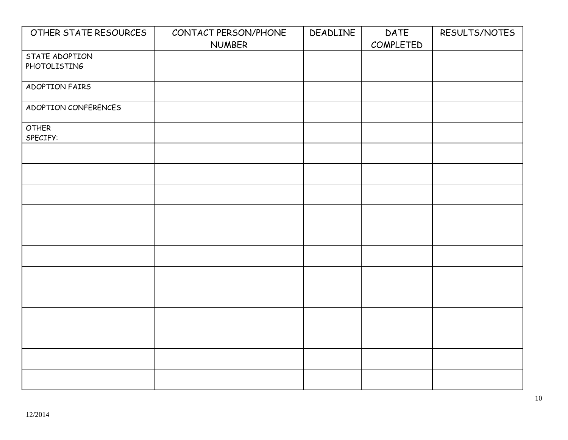| OTHER STATE RESOURCES | CONTACT PERSON/PHONE | DEADLINE | DATE      | RESULTS/NOTES |
|-----------------------|----------------------|----------|-----------|---------------|
|                       | <b>NUMBER</b>        |          | COMPLETED |               |
| STATE ADOPTION        |                      |          |           |               |
| PHOTOLISTING          |                      |          |           |               |
|                       |                      |          |           |               |
| ADOPTION FAIRS        |                      |          |           |               |
|                       |                      |          |           |               |
| ADOPTION CONFERENCES  |                      |          |           |               |
|                       |                      |          |           |               |
| <b>OTHER</b>          |                      |          |           |               |
|                       |                      |          |           |               |
| SPECIFY:              |                      |          |           |               |
|                       |                      |          |           |               |
|                       |                      |          |           |               |
|                       |                      |          |           |               |
|                       |                      |          |           |               |
|                       |                      |          |           |               |
|                       |                      |          |           |               |
|                       |                      |          |           |               |
|                       |                      |          |           |               |
|                       |                      |          |           |               |
|                       |                      |          |           |               |
|                       |                      |          |           |               |
|                       |                      |          |           |               |
|                       |                      |          |           |               |
|                       |                      |          |           |               |
|                       |                      |          |           |               |
|                       |                      |          |           |               |
|                       |                      |          |           |               |
|                       |                      |          |           |               |
|                       |                      |          |           |               |
|                       |                      |          |           |               |
|                       |                      |          |           |               |
|                       |                      |          |           |               |
|                       |                      |          |           |               |
|                       |                      |          |           |               |
|                       |                      |          |           |               |
|                       |                      |          |           |               |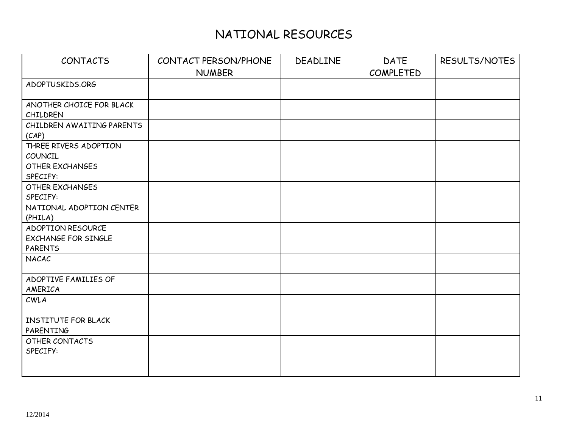# NATIONAL RESOURCES

| <b>CONTACTS</b>                       | CONTACT PERSON/PHONE | DEADLINE | <b>DATE</b> | RESULTS/NOTES |
|---------------------------------------|----------------------|----------|-------------|---------------|
|                                       | <b>NUMBER</b>        |          | COMPLETED   |               |
| ADOPTUSKIDS.ORG                       |                      |          |             |               |
|                                       |                      |          |             |               |
| ANOTHER CHOICE FOR BLACK              |                      |          |             |               |
| CHILDREN<br>CHILDREN AWAITING PARENTS |                      |          |             |               |
| (CAP)                                 |                      |          |             |               |
| THREE RIVERS ADOPTION                 |                      |          |             |               |
| COUNCIL                               |                      |          |             |               |
| <b>OTHER EXCHANGES</b>                |                      |          |             |               |
| SPECIFY:                              |                      |          |             |               |
| <b>OTHER EXCHANGES</b>                |                      |          |             |               |
| SPECIFY:                              |                      |          |             |               |
| NATIONAL ADOPTION CENTER              |                      |          |             |               |
| (PHILA)                               |                      |          |             |               |
| ADOPTION RESOURCE                     |                      |          |             |               |
| <b>EXCHANGE FOR SINGLE</b>            |                      |          |             |               |
| <b>PARENTS</b>                        |                      |          |             |               |
| NACAC                                 |                      |          |             |               |
| ADOPTIVE FAMILIES OF                  |                      |          |             |               |
| AMERICA                               |                      |          |             |               |
| CWLA                                  |                      |          |             |               |
| INSTITUTE FOR BLACK                   |                      |          |             |               |
| PARENTING                             |                      |          |             |               |
| OTHER CONTACTS                        |                      |          |             |               |
| SPECIFY:                              |                      |          |             |               |
|                                       |                      |          |             |               |
|                                       |                      |          |             |               |